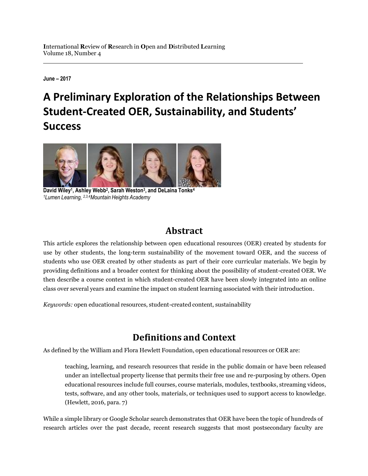**June – 2017**

# **A Preliminary Exploration of the Relationships Between Student-Created OER, Sustainability, and Students' Success**



**David Wiley 1 , Ashley Webb 2 , Sarah Weston 3 , and DeLaina Tonks 4** *<sup>1</sup>Lumen Learning, 2,3,4Mountain Heights Academy*

## **Abstract**

This article explores the relationship between open educational resources (OER) created by students for use by other students, the long-term sustainability of the movement toward OER, and the success of students who use OER created by other students as part of their core curricular materials. We begin by providing definitions and a broader context for thinking about the possibility of student-created OER. We then describe a course context in which student-created OER have been slowly integrated into an online class over several years and examine the impact on student learning associated with their introduction.

*Keywords:* open educational resources, student-created content, sustainability

## **Definitions and Context**

As defined by the William and Flora Hewlett Foundation, open educational resources or OER are:

teaching, learning, and research resources that reside in the public domain or have been released under an intellectual property license that permits their free use and re-purposing by others. Open educational resources include full courses, course materials, modules, textbooks, streaming videos, tests, software, and any other tools, materials, or techniques used to support access to knowledge. (Hewlett, 2016, para. 7)

While a simple library or Google Scholar search demonstrates that OER have been the topic of hundreds of research articles over the past decade, recent research suggests that most postsecondary faculty are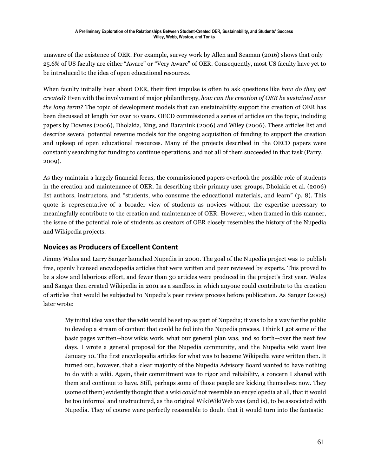unaware of the existence of OER. For example, survey work by Allen and Seaman (2016) shows that only 25.6% of US faculty are either "Aware" or "Very Aware" of OER. Consequently, most US faculty have yet to be introduced to the idea of open educational resources.

When faculty initially hear about OER, their first impulse is often to ask questions like *how do they get created?* Even with the involvement of major philanthropy, *how can the creation of OER be sustained over the long term?* The topic of development models that can sustainability support the creation of OER has been discussed at length for over 10 years. OECD commissioned a series of articles on the topic, including papers by Downes (2006), Dholakia, King, and Baraniuk (2006) and Wiley (2006). These articles list and describe several potential revenue models for the ongoing acquisition of funding to support the creation and upkeep of open educational resources. Many of the projects described in the OECD papers were constantly searching for funding to continue operations, and not all of them succeeded in that task (Parry, 2009).

As they maintain a largely financial focus, the commissioned papers overlook the possible role of students in the creation and maintenance of OER. In describing their primary user groups, Dholakia et al. (2006) list authors, instructors, and "students, who consume the educational materials, and learn" (p. 8). This quote is representative of a broader view of students as novices without the expertise necessary to meaningfully contribute to the creation and maintenance of OER. However, when framed in this manner, the issue of the potential role of students as creators of OER closely resembles the history of the Nupedia and Wikipedia projects.

#### **Novices as Producers of Excellent Content**

Jimmy Wales and Larry Sanger launched Nupedia in 2000. The goal of the Nupedia project was to publish free, openly licensed encyclopedia articles that were written and peer reviewed by experts. This proved to be a slow and laborious effort, and fewer than 30 articles were produced in the project's first year. Wales and Sanger then created Wikipedia in 2001 as a sandbox in which anyone could contribute to the creation of articles that would be subjected to Nupedia's peer review process before publication. As Sanger (2005) later wrote:

My initial idea was that the wiki would be set up as part of Nupedia; it was to be a way for the public to develop a stream of content that could be fed into the Nupedia process. I think I got some of the basic pages written--how wikis work, what our general plan was, and so forth--over the next few days. I wrote a general proposal for the Nupedia community, and the Nupedia wiki went live January 10. The first encyclopedia articles for what was to become Wikipedia were written then. It turned out, however, that a clear majority of the Nupedia Advisory Board wanted to have nothing to do with a wiki. Again, their commitment was to rigor and reliability, a concern I shared with them and continue to have. Still, perhaps some of those people are kicking themselves now. They (some of them) evidently thought that a wiki *could* not resemble an encyclopedia at all, that it would be too informal and unstructured, as the original WikiWikiWeb was (and is), to be associated with Nupedia. They of course were perfectly reasonable to doubt that it would turn into the fantastic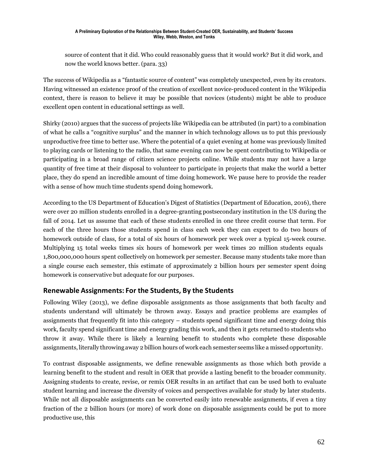#### **A Preliminary Exploration of the Relationships Between Student-Created OER, Sustainability, and Students' Success Wiley, Webb, Weston, and Tonks**

source of content that it did. Who could reasonably guess that it would work? But it did work, and now the world knows better. (para. 33)

The success of Wikipedia as a "fantastic source of content" was completely unexpected, even by its creators. Having witnessed an existence proof of the creation of excellent novice-produced content in the Wikipedia context, there is reason to believe it may be possible that novices (students) might be able to produce excellent open content in educational settings as well.

Shirky (2010) argues that the success of projects like Wikipedia can be attributed (in part) to a combination of what he calls a "cognitive surplus" and the manner in which technology allows us to put this previously unproductive free time to better use. Where the potential of a quiet evening at home was previously limited to playing cards or listening to the radio, that same evening can now be spent contributing to Wikipedia or participating in a broad range of citizen science projects online. While students may not have a large quantity of free time at their disposal to volunteer to participate in projects that make the world a better place, they do spend an incredible amount of time doing homework. We pause here to provide the reader with a sense of how much time students spend doing homework.

According to the US Department of Education's Digest of Statistics (Department of Education, 2016), there were over 20 million students enrolled in a degree-granting postsecondary institution in the US during the fall of 2014. Let us assume that each of these students enrolled in one three credit course that term. For each of the three hours those students spend in class each week they can expect to do two hours of homework outside of class, for a total of six hours of homework per week over a typical 15-week course. Multiplying 15 total weeks times six hours of homework per week times 20 million students equals 1,800,000,000 hours spent collectively on homework per semester. Because many students take more than a single course each semester, this estimate of approximately 2 billion hours per semester spent doing homework is conservative but adequate for our purposes.

#### **Renewable Assignments: For the Students, By the Students**

Following Wiley (2013), we define disposable assignments as those assignments that both faculty and students understand will ultimately be thrown away. Essays and practice problems are examples of assignments that frequently fit into this category – students spend significant time and energy doing this work, faculty spend significant time and energy grading this work, and then it gets returned to students who throw it away. While there is likely a learning benefit to students who complete these disposable assignments,literally throwing away 2 billion hours of work each semester seems like a missed opportunity.

To contrast disposable assignments, we define renewable assignments as those which both provide a learning benefit to the student and result in OER that provide a lasting benefit to the broader community. Assigning students to create, revise, or remix OER results in an artifact that can be used both to evaluate student learning and increase the diversity of voices and perspectives available for study by later students. While not all disposable assignments can be converted easily into renewable assignments, if even a tiny fraction of the 2 billion hours (or more) of work done on disposable assignments could be put to more productive use, this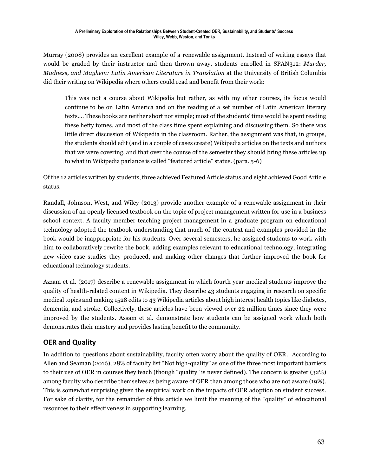Murray (2008) provides an excellent example of a renewable assignment. Instead of writing essays that would be graded by their instructor and then thrown away, students enrolled in SPAN312: *Murder, Madness, and Mayhem: Latin American Literature in Translation* at the University of British Columbia did their writing on Wikipedia where others could read and benefit from their work:

This was not a course about Wikipedia but rather, as with my other courses, its focus would continue to be on Latin America and on the reading of a set number of Latin American literary texts.… These books are neither short nor simple; most of the students' time would be spent reading these hefty tomes, and most of the class time spent explaining and discussing them. So there was little direct discussion of Wikipedia in the classroom. Rather, the assignment was that, in groups, the students should edit (and in a couple of cases create) Wikipedia articles on the texts and authors that we were covering, and that over the course of the semester they should bring these articles up to what in Wikipedia parlance is called "featured article" status. (para. 5-6)

Of the 12 articles written by students, three achieved Featured Article status and eight achieved Good Article status.

Randall, Johnson, West, and Wiley (2013) provide another example of a renewable assignment in their discussion of an openly licensed textbook on the topic of project management written for use in a business school context. A faculty member teaching project management in a graduate program on educational technology adopted the textbook understanding that much of the context and examples provided in the book would be inappropriate for his students. Over several semesters, he assigned students to work with him to collaboratively rewrite the book, adding examples relevant to educational technology, integrating new video case studies they produced, and making other changes that further improved the book for educational technology students.

Azzam et al. (2017) describe a renewable assignment in which fourth year medical students improve the quality of health-related content in Wikipedia. They describe 43 students engaging in research on specific medical topics and making 1528 edits to 43 Wikipedia articles about high interest health topics like diabetes, dementia, and stroke. Collectively, these articles have been viewed over 22 million times since they were improved by the students. Assam et al. demonstrate how students can be assigned work which both demonstrates their mastery and provides lasting benefit to the community.

#### **OER and Quality**

In addition to questions about sustainability, faculty often worry about the quality of OER. According to Allen and Seaman (2016), 28% of faculty list "Not high-quality" as one of the three most important barriers to their use of OER in courses they teach (though "quality" is never defined). The concern is greater (32%) among faculty who describe themselves as being aware of OER than among those who are not aware (19%). This is somewhat surprising given the empirical work on the impacts of OER adoption on student success. For sake of clarity, for the remainder of this article we limit the meaning of the "quality" of educational resources to their effectiveness in supporting learning.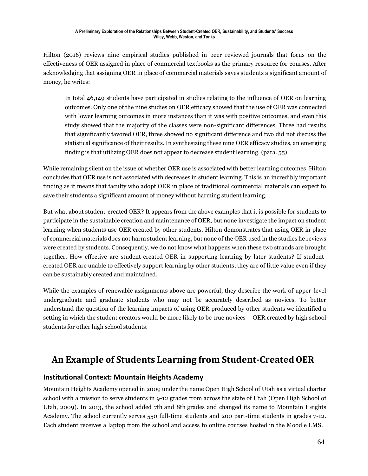Hilton (2016) reviews nine empirical studies published in peer reviewed journals that focus on the effectiveness of OER assigned in place of commercial textbooks as the primary resource for courses. After acknowledging that assigning OER in place of commercial materials saves students a significant amount of money, he writes:

In total 46,149 students have participated in studies relating to the influence of OER on learning outcomes. Only one of the nine studies on OER efficacy showed that the use of OER was connected with lower learning outcomes in more instances than it was with positive outcomes, and even this study showed that the majority of the classes were non-significant differences. Three had results that significantly favored OER, three showed no significant difference and two did not discuss the statistical significance of their results. In synthesizing these nine OER efficacy studies, an emerging finding is that utilizing OER does not appear to decrease student learning. (para. 55)

While remaining silent on the issue of whether OER use is associated with better learning outcomes, Hilton concludes that OER use is not associated with decreases in student learning. This is an incredibly important finding as it means that faculty who adopt OER in place of traditional commercial materials can expect to save their students a significant amount of money without harming student learning.

But what about student-created OER? It appears from the above examples that it is possible for students to participate in the sustainable creation and maintenance of OER, but none investigate the impact on student learning when students use OER created by other students. Hilton demonstrates that using OER in place of commercial materials does not harm student learning, but none of the OER used in the studies he reviews were created by students. Consequently, we do not know what happens when these two strands are brought together. How effective are student-created OER in supporting learning by later students? If studentcreated OER are unable to effectively support learning by other students, they are of little value even if they can be sustainably created and maintained.

While the examples of renewable assignments above are powerful, they describe the work of upper -level undergraduate and graduate students who may not be accurately described as novices. To better understand the question of the learning impacts of using OER produced by other students we identified a setting in which the student creators would be more likely to be true novices – OER created by high school students for other high school students.

## **An Example of Students Learning from Student-CreatedOER**

#### **Institutional Context: Mountain Heights Academy**

Mountain Heights Academy opened in 2009 under the name Open High School of Utah as a virtual charter school with a mission to serve students in 9-12 grades from across the state of Utah (Open High School of Utah, 2009). In 2013, the school added 7th and 8th grades and changed its name to Mountain Heights Academy. The school currently serves 550 full-time students and 200 part-time students in grades 7-12. Each student receives a laptop from the school and access to online courses hosted in the Moodle LMS.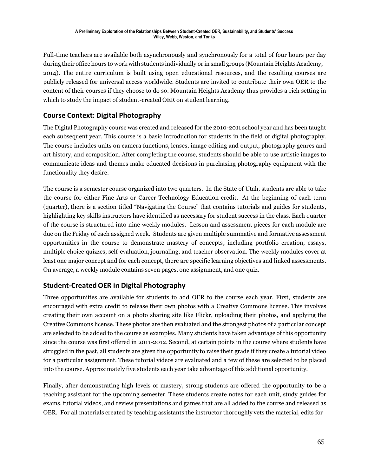Full-time teachers are available both asynchronously and synchronously for a total of four hours per day during their office hours to work with students individually or in small groups (Mountain Heights Academy, 2014). The entire curriculum is built using open educational resources, and the resulting courses are publicly released for universal access worldwide. Students are invited to contribute their own OER to the content of their courses if they choose to do so. Mountain Heights Academy thus provides a rich setting in which to study the impact of student-created OER on student learning.

### **Course Context: Digital Photography**

The Digital Photography course was created and released for the 2010-2011 school year and has been taught each subsequent year. This course is a basic introduction for students in the field of digital photography. The course includes units on camera functions, lenses, image editing and output, photography genres and art history, and composition. After completing the course, students should be able to use artistic images to communicate ideas and themes make educated decisions in purchasing photography equipment with the functionality they desire.

The course is a semester course organized into two quarters. In the State of Utah, students are able to take the course for either Fine Arts or Career Technology Education credit. At the beginning of each term (quarter), there is a section titled "Navigating the Course" that contains tutorials and guides for students, highlighting key skills instructors have identified as necessary for student success in the class. Each quarter of the course is structured into nine weekly modules. Lesson and assessment pieces for each module are due on the Friday of each assigned week. Students are given multiple summative and formative assessment opportunities in the course to demonstrate mastery of concepts, including portfolio creation, essays, multiple choice quizzes, self-evaluation, journaling, and teacher observation. The weekly modules cover at least one major concept and for each concept, there are specific learning objectives and linked assessments. On average, a weekly module contains seven pages, one assignment, and one quiz.

#### **Student-CreatedOER in Digital Photography**

Three opportunities are available for students to add OER to the course each year. First, students are encouraged with extra credit to release their own photos with a Creative Commons license. This involves creating their own account on a photo sharing site like Flickr, uploading their photos, and applying the Creative Commons license. These photos are then evaluated and the strongest photos of a particular concept are selected to be added to the course as examples. Many students have taken advantage of this opportunity since the course was first offered in 2011-2012. Second, at certain points in the course where students have struggled in the past, all students are given the opportunity to raise their grade if they create a tutorial video for a particular assignment. These tutorial videos are evaluated and a few of these are selected to be placed into the course. Approximately five students each year take advantage of this additional opportunity.

Finally, after demonstrating high levels of mastery, strong students are offered the opportunity to be a teaching assistant for the upcoming semester. These students create notes for each unit, study guides for exams, tutorial videos, and review presentations and games that are all added to the course and released as OER. For all materials created by teaching assistants the instructor thoroughly vets the material, edits for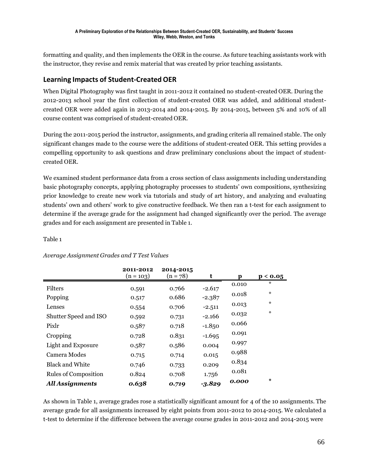formatting and quality, and then implements the OER in the course. As future teaching assistants work with the instructor, they revise and remix material that was created by prior teaching assistants.

#### **Learning Impacts of Student-Created OER**

When Digital Photography was first taught in 2011-2012 it contained no student-created OER. During the 2012-2013 school year the first collection of student-created OER was added, and additional studentcreated OER were added again in 2013-2014 and 2014-2015. By 2014-2015, between 5% and 10% of all course content was comprised of student-created OER.

During the 2011-2015 period the instructor, assignments, and grading criteria all remained stable. The only significant changes made to the course were the additions of student-created OER. This setting provides a compelling opportunity to ask questions and draw preliminary conclusions about the impact of studentcreated OER.

We examined student performance data from a cross section of class assignments including understanding basic photography concepts, applying photography processes to students' own compositions, synthesizing prior knowledge to create new work via tutorials and study of art history, and analyzing and evaluating students' own and others' work to give constructive feedback. We then ran a t-test for each assignment to determine if the average grade for the assignment had changed significantly over the period. The average grades and for each assignment are presented in Table 1.

#### Table 1

|                        | 2011-2012<br>$(n = 103)$ | 2014-2015<br>$(n = 78)$ | t        | D     | p < 0.05 |
|------------------------|--------------------------|-------------------------|----------|-------|----------|
|                        |                          |                         |          | 0.010 | $\ast$   |
| Filters                | 0.591                    | 0.766                   | $-2.617$ |       | $\ast$   |
| Popping                | 0.517                    | 0.686                   | $-2.387$ | 0.018 |          |
| Lenses                 | 0.554                    | 0.706                   | $-2.511$ | 0.013 | $\ast$   |
| Shutter Speed and ISO  | 0.592                    | 0.731                   | $-2.166$ | 0.032 | $\ast$   |
| Pixlr                  | 0.587                    | 0.718                   | $-1.850$ | 0.066 |          |
| Cropping               | 0.728                    | 0.831                   | $-1.695$ | 0.091 |          |
| Light and Exposure     | 0.587                    | 0.586                   | 0.004    | 0.997 |          |
| Camera Modes           | 0.715                    | 0.714                   | 0.015    | 0.988 |          |
| <b>Black and White</b> | 0.746                    | 0.733                   | 0.209    | 0.834 |          |
| Rules of Composition   | 0.824                    | 0.708                   | 1.756    | 0.081 |          |
| <b>All Assignments</b> | 0.638                    | 0.719                   | $-3.829$ | 0.000 | $\ast$   |

*Average Assignment Grades and T Test Values*

As shown in Table 1, average grades rose a statistically significant amount for 4 of the 10 assignments. The average grade for all assignments increased by eight points from 2011-2012 to 2014-2015. We calculated a t-test to determine if the difference between the average course grades in 2011-2012 and 2014-2015 were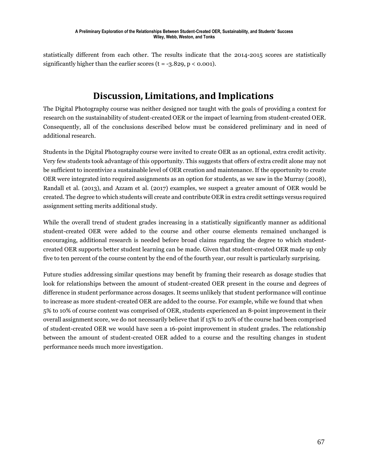statistically different from each other. The results indicate that the 2014-2015 scores are statistically significantly higher than the earlier scores ( $t = -3.829$ ,  $p < 0.001$ ).

### **Discussion, Limitations, and Implications**

The Digital Photography course was neither designed nor taught with the goals of providing a context for research on the sustainability of student-created OER or the impact of learning from student-created OER. Consequently, all of the conclusions described below must be considered preliminary and in need of additional research.

Students in the Digital Photography course were invited to create OER as an optional, extra credit activity. Very few students took advantage of this opportunity. This suggests that offers of extra credit alone may not be sufficient to incentivize a sustainable level of OER creation and maintenance. If the opportunity to create OER were integrated into required assignments as an option for students, as we saw in the Murray (2008), Randall et al. (2013), and Azzam et al. (2017) examples, we suspect a greater amount of OER would be created. The degree to which students will create and contribute OER in extra credit settings versus required assignment setting merits additional study.

While the overall trend of student grades increasing in a statistically significantly manner as additional student-created OER were added to the course and other course elements remained unchanged is encouraging, additional research is needed before broad claims regarding the degree to which studentcreated OER supports better student learning can be made. Given that student-created OER made up only five to ten percent of the course content by the end of the fourth year, our result is particularly surprising.

Future studies addressing similar questions may benefit by framing their research as dosage studies that look for relationships between the amount of student-created OER present in the course and degrees of difference in student performance across dosages. It seems unlikely that student performance will continue to increase as more student-created OER are added to the course. For example, while we found that when 5% to 10% of course content was comprised of OER, students experienced an 8-point improvement in their overall assignment score, we do not necessarily believe that if 15% to 20% of the course had been comprised of student-created OER we would have seen a 16-point improvement in student grades. The relationship between the amount of student-created OER added to a course and the resulting changes in student performance needs much more investigation.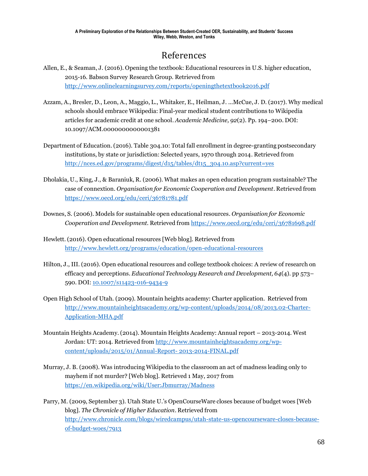### References

- Allen, E., & Seaman, J. (2016). Opening the textbook: Educational resources in U.S. higher education, 2015-16. Babson Survey Research Group. Retrieved from <http://www.onlinelearningsurvey.com/reports/openingthetextbook2016.pdf>
- Azzam, A., Bresler, D., Leon, A., Maggio, L., Whitaker, E., Heilman, J. ...McCue, J. D. (2017). Why medical schools should embrace Wikipedia: Final-year medical student contributions to Wikipedia articles for academic credit at one school. *Academic Medicine, 92*(2). Pp. 194–200. DOI: 10.1097/ACM.0000000000001381
- Department of Education. (2016). Table 304.10: Total fall enrollment in degree-granting postsecondary institutions, by state or jurisdiction: Selected years, 1970 through 2014. Retrieved from [http://nces.ed.gov/programs/digest/d15/tables/dt15\\_304.10.asp?current=yes](http://nces.ed.gov/programs/digest/d15/tables/dt15_304.10.asp?current=yes)
- Dholakia, U., King, J., & Baraniuk, R. (2006). What makes an open education program sustainable? The case of connextion. *Organisation for Economic Cooperation and Development*. Retrieved from <https://www.oecd.org/edu/ceri/36781781.pdf>
- Downes, S. (2006). Models for sustainable open educational resources. *Organisation for Economic Cooperation and Development.* Retrieved from <https://www.oecd.org/edu/ceri/36781698.pdf>
- Hewlett. (2016). Open educational resources [Web blog]. Retrieved from <http://www.hewlett.org/programs/education/open-educational-resources>
- Hilton, J., III. (2016). Open educational resources and college textbook choices: A review of research on efficacy and perceptions. *Educational Technology Research and Development, 64*(4). pp 573– 590. DOI: [10.1007/s11423-016-9434-9](http://link.springer.com/article/10.1007/s11423-016-9434-9)
- Open High School of Utah. (2009). Mountain heights academy: Charter application. Retrieved from [http://www.mountainheightsacademy.org/wp-content/uploads/2014/08/2013.02-Charter-](http://www.mountainheightsacademy.org/wp-content/uploads/2014/08/2013.02-Charter-Application-MHA.pdf)[Application-MHA.pdf](http://www.mountainheightsacademy.org/wp-content/uploads/2014/08/2013.02-Charter-Application-MHA.pdf)
- Mountain Heights Academy. (2014). Mountain Heights Academy: Annual report 2013-2014. West Jordan: UT: 2014. Retrieved from [http://www.mountainheightsacademy.org/wp](http://www.mountainheightsacademy.org/wp-content/uploads/2015/01/Annual-Report-%202013-2014-FINAL.pdf)[content/uploads/2015/01/Annual-Report-](http://www.mountainheightsacademy.org/wp-content/uploads/2015/01/Annual-Report-%202013-2014-FINAL.pdf) 2013-2014-FINAL.pdf
- Murray, J. B. (2008). Was introducing Wikipedia to the classroom an act of madness leading only to mayhem if not murder? [Web blog]. Retrieved 1 May, 2017 from [https://en.wikipedia.org/wiki/User:Jbmurray/Madness](https://en.wikipedia.org/wiki/User%3AJbmurray/Madness)
- Parry, M. (2009, September 3). Utah State U.'s OpenCourseWare closes because of budget woes [Web blog]. *The Chronicle of Higher Education*. Retrieved from [http://www.chronicle.com/blogs/wiredcampus/utah-state-us-opencourseware-closes-because](http://www.chronicle.com/blogs/wiredcampus/utah-state-us-opencourseware-closes-because-of-budget-woes/7913)[of-budget-woes/7913](http://www.chronicle.com/blogs/wiredcampus/utah-state-us-opencourseware-closes-because-of-budget-woes/7913)